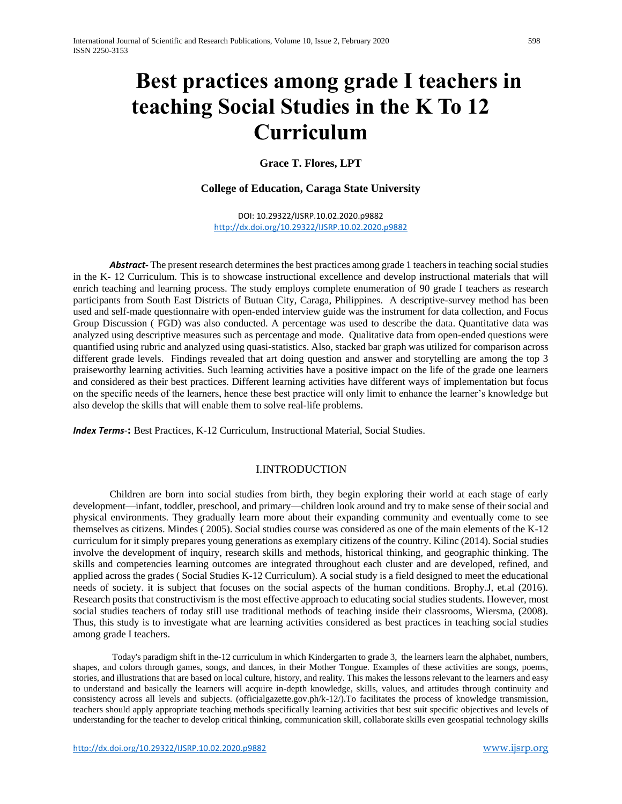# **Best practices among grade I teachers in teaching Social Studies in the K To 12 Curriculum**

**Grace T. Flores, LPT**

## **College of Education, Caraga State University**

DOI: 10.29322/IJSRP.10.02.2020.p9882 <http://dx.doi.org/10.29322/IJSRP.10.02.2020.p9882>

*Abstract***-** The present research determines the best practices among grade 1 teachers in teaching social studies in the K- 12 Curriculum. This is to showcase instructional excellence and develop instructional materials that will enrich teaching and learning process. The study employs complete enumeration of 90 grade I teachers as research participants from South East Districts of Butuan City, Caraga, Philippines. A descriptive-survey method has been used and self-made questionnaire with open-ended interview guide was the instrument for data collection, and Focus Group Discussion ( FGD) was also conducted. A percentage was used to describe the data. Quantitative data was analyzed using descriptive measures such as percentage and mode. Qualitative data from open-ended questions were quantified using rubric and analyzed using quasi-statistics. Also, stacked bar graph was utilized for comparison across different grade levels. Findings revealed that art doing question and answer and storytelling are among the top 3 praiseworthy learning activities. Such learning activities have a positive impact on the life of the grade one learners and considered as their best practices. Different learning activities have different ways of implementation but focus on the specific needs of the learners, hence these best practice will only limit to enhance the learner's knowledge but also develop the skills that will enable them to solve real-life problems.

*Index Terms*-**:** Best Practices, K-12 Curriculum, Instructional Material, Social Studies.

### I.INTRODUCTION

Children are born into social studies from birth, they begin exploring their world at each stage of early development—infant, toddler, preschool, and primary—children look around and try to make sense of their social and physical environments. They gradually learn more about their expanding community and eventually come to see themselves as citizens. Mindes ( 2005). Social studies course was considered as one of the main elements of the K-12 curriculum for it simply prepares young generations as exemplary citizens of the country. Kilinc (2014). Social studies involve the development of inquiry, research skills and methods, historical thinking, and geographic thinking. The skills and competencies learning outcomes are integrated throughout each cluster and are developed, refined, and applied across the grades ( Social Studies K-12 Curriculum). A social study is a field designed to meet the educational needs of society. it is subject that focuses on the social aspects of the human conditions. Brophy.J, et.al (2016). Research posits that constructivism is the most effective approach to educating social studies students. However, most social studies teachers of today still use traditional methods of teaching inside their classrooms, Wiersma, (2008). Thus, this study is to investigate what are learning activities considered as best practices in teaching social studies among grade I teachers.

Today's paradigm shift in the-12 curriculum in which Kindergarten to grade 3, the learners learn the alphabet, numbers, shapes, and colors through games, songs, and dances, in their Mother Tongue. Examples of these activities are songs, poems, stories, and illustrations that are based on local culture, history, and reality. This makes the lessons relevant to the learners and easy to understand and basically the learners will acquire in-depth knowledge, skills, values, and attitudes through continuity and consistency across all levels and subjects. (officialgazette.gov.ph/k-12/).To facilitates the process of knowledge transmission, teachers should apply appropriate teaching methods specifically learning activities that best suit specific objectives and levels of understanding for the teacher to develop critical thinking, communication skill, collaborate skills even geospatial technology skills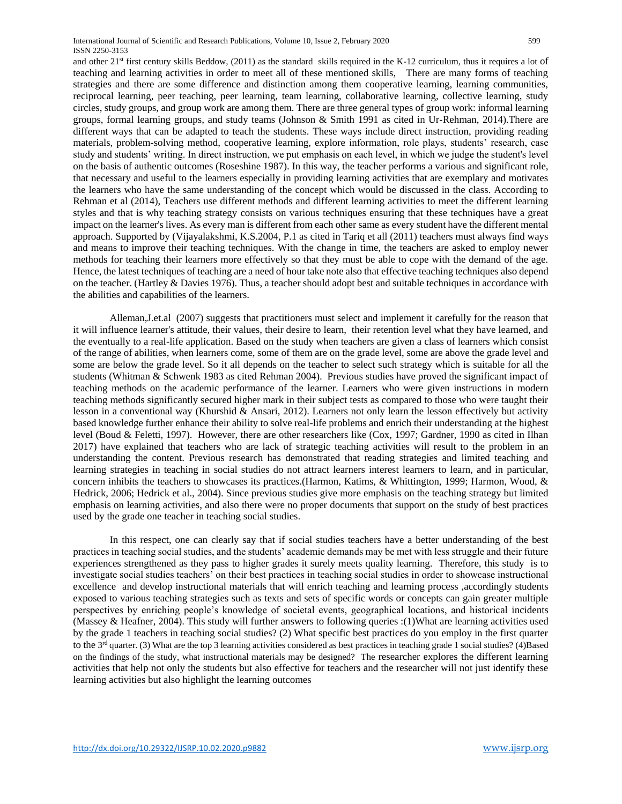and other  $21<sup>st</sup>$  first century skills Beddow, (2011) as the standard skills required in the K-12 curriculum, thus it requires a lot of teaching and learning activities in order to meet all of these mentioned skills, There are many forms of teaching strategies and there are some difference and distinction among them cooperative learning, learning communities, reciprocal learning, peer teaching, peer learning, team learning, collaborative learning, collective learning, study circles, study groups, and group work are among them. There are three general types of group work: informal learning groups, formal learning groups, and study teams (Johnson & Smith 1991 as cited in Ur-Rehman, 2014).There are different ways that can be adapted to teach the students. These ways include direct instruction, providing reading materials, problem-solving method, cooperative learning, explore information, role plays, students' research, case study and students' writing. In direct instruction, we put emphasis on each level, in which we judge the student's level on the basis of authentic outcomes (Roseshine 1987). In this way, the teacher performs a various and significant role, that necessary and useful to the learners especially in providing learning activities that are exemplary and motivates the learners who have the same understanding of the concept which would be discussed in the class. According to Rehman et al (2014), Teachers use different methods and different learning activities to meet the different learning styles and that is why teaching strategy consists on various techniques ensuring that these techniques have a great impact on the learner's lives. As every man is different from each other same as every student have the different mental approach. Supported by (Vijayalakshmi, K.S.2004, P.1 as cited in Tariq et all (2011) teachers must always find ways and means to improve their teaching techniques. With the change in time, the teachers are asked to employ newer methods for teaching their learners more effectively so that they must be able to cope with the demand of the age. Hence, the latest techniques of teaching are a need of hour take note also that effective teaching techniques also depend on the teacher. (Hartley & Davies 1976). Thus, a teacher should adopt best and suitable techniques in accordance with the abilities and capabilities of the learners.

Alleman,J.et.al (2007) suggests that practitioners must select and implement it carefully for the reason that it will influence learner's attitude, their values, their desire to learn, their retention level what they have learned, and the eventually to a real-life application. Based on the study when teachers are given a class of learners which consist of the range of abilities, when learners come, some of them are on the grade level, some are above the grade level and some are below the grade level. So it all depends on the teacher to select such strategy which is suitable for all the students (Whitman & Schwenk 1983 as cited Rehman 2004). Previous studies have proved the significant impact of teaching methods on the academic performance of the learner. Learners who were given instructions in modern teaching methods significantly secured higher mark in their subject tests as compared to those who were taught their lesson in a conventional way (Khurshid & Ansari, 2012). Learners not only learn the lesson effectively but activity based knowledge further enhance their ability to solve real-life problems and enrich their understanding at the highest level (Boud & Feletti, 1997). However, there are other researchers like (Cox, 1997; Gardner, 1990 as cited in Ilhan 2017) have explained that teachers who are lack of strategic teaching activities will result to the problem in an understanding the content. Previous research has demonstrated that reading strategies and limited teaching and learning strategies in teaching in social studies do not attract learners interest learners to learn, and in particular, concern inhibits the teachers to showcases its practices.(Harmon, Katims, & Whittington, 1999; Harmon, Wood, & Hedrick, 2006; Hedrick et al., 2004). Since previous studies give more emphasis on the teaching strategy but limited emphasis on learning activities, and also there were no proper documents that support on the study of best practices used by the grade one teacher in teaching social studies.

In this respect, one can clearly say that if social studies teachers have a better understanding of the best practices in teaching social studies, and the students' academic demands may be met with less struggle and their future experiences strengthened as they pass to higher grades it surely meets quality learning. Therefore, this study is to investigate social studies teachers' on their best practices in teaching social studies in order to showcase instructional excellence and develop instructional materials that will enrich teaching and learning process ,accordingly students exposed to various teaching strategies such as texts and sets of specific words or concepts can gain greater multiple perspectives by enriching people's knowledge of societal events, geographical locations, and historical incidents (Massey & Heafner, 2004). This study will further answers to following queries :(1)What are learning activities used by the grade 1 teachers in teaching social studies? (2) What specific best practices do you employ in the first quarter to the 3<sup>rd</sup> quarter. (3) What are the top 3 learning activities considered as best practices in teaching grade 1 social studies? (4)Based on the findings of the study, what instructional materials may be designed? The researcher explores the different learning activities that help not only the students but also effective for teachers and the researcher will not just identify these learning activities but also highlight the learning outcomes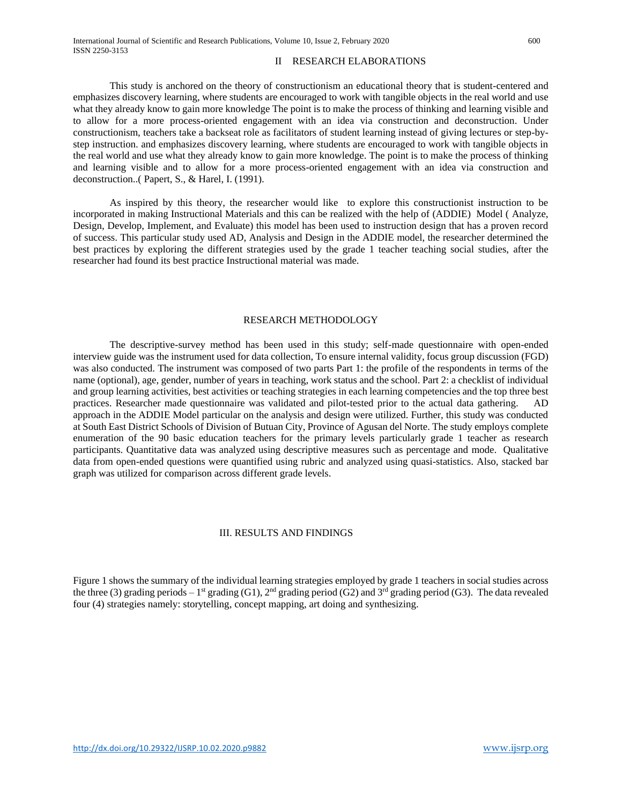#### II RESEARCH ELABORATIONS

This study is anchored on the theory of constructionism an educational theory that is student-centered and emphasizes discovery learning, where students are encouraged to work with tangible objects in the real world and use what they already know to gain more knowledge The point is to make the process of thinking and learning visible and to allow for a more process-oriented engagement with an idea via construction and deconstruction. Under constructionism, teachers take a backseat role as facilitators of student learning instead of giving lectures or step-bystep instruction. and emphasizes discovery learning, where students are encouraged to work with tangible objects in the real world and use what they already know to gain more knowledge. The point is to make the process of thinking and learning visible and to allow for a more process-oriented engagement with an idea via construction and deconstruction..( Papert, S., & Harel, I. (1991).

As inspired by this theory, the researcher would like to explore this constructionist instruction to be incorporated in making Instructional Materials and this can be realized with the help of (ADDIE) Model ( Analyze, Design, Develop, Implement, and Evaluate) this model has been used to instruction design that has a proven record of success. This particular study used AD, Analysis and Design in the ADDIE model, the researcher determined the best practices by exploring the different strategies used by the grade 1 teacher teaching social studies, after the researcher had found its best practice Instructional material was made.

#### RESEARCH METHODOLOGY

The descriptive-survey method has been used in this study; self-made questionnaire with open-ended interview guide was the instrument used for data collection, To ensure internal validity, focus group discussion (FGD) was also conducted. The instrument was composed of two parts Part 1: the profile of the respondents in terms of the name (optional), age, gender, number of years in teaching, work status and the school. Part 2: a checklist of individual and group learning activities, best activities or teaching strategies in each learning competencies and the top three best practices. Researcher made questionnaire was validated and pilot-tested prior to the actual data gathering. AD approach in the ADDIE Model particular on the analysis and design were utilized. Further, this study was conducted at South East District Schools of Division of Butuan City, Province of Agusan del Norte. The study employs complete enumeration of the 90 basic education teachers for the primary levels particularly grade 1 teacher as research participants. Quantitative data was analyzed using descriptive measures such as percentage and mode. Qualitative data from open-ended questions were quantified using rubric and analyzed using quasi-statistics. Also, stacked bar graph was utilized for comparison across different grade levels.

#### III. RESULTS AND FINDINGS

Figure 1 shows the summary of the individual learning strategies employed by grade 1 teachers in social studies across the three (3) grading periods – 1<sup>st</sup> grading (G1), 2<sup>nd</sup> grading period (G2) and 3<sup>rd</sup> grading period (G3). The data revealed four (4) strategies namely: storytelling, concept mapping, art doing and synthesizing.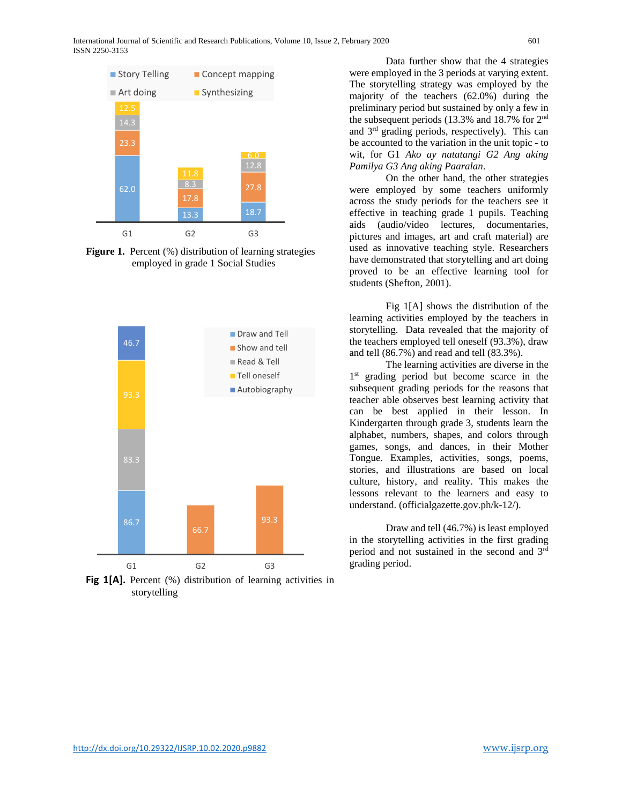

**Figure 1.** Percent (%) distribution of learning strategies employed in grade 1 Social Studies



Fig 1[A]. Percent (%) distribution of learning activities in storytelling

Data further show that the 4 strategies were employed in the 3 periods at varying extent. The storytelling strategy was employed by the majority of the teachers (62.0%) during the preliminary period but sustained by only a few in the subsequent periods (13.3% and 18.7% for 2nd and 3rd grading periods, respectively). This can be accounted to the variation in the unit topic - to wit, for G1 *Ako ay natatangi G2 Ang aking Pamilya G3 Ang aking Paaralan*.

On the other hand, the other strategies were employed by some teachers uniformly across the study periods for the teachers see it effective in teaching grade 1 pupils. Teaching aids (audio/video lectures, documentaries, pictures and images, art and craft material) are used as innovative teaching style. Researchers have demonstrated that storytelling and art doing proved to be an effective learning tool for students (Shefton, 2001).

Fig 1[A] shows the distribution of the learning activities employed by the teachers in storytelling. Data revealed that the majority of the teachers employed tell oneself (93.3%), draw and tell (86.7%) and read and tell (83.3%).

The learning activities are diverse in the 1<sup>st</sup> grading period but become scarce in the subsequent grading periods for the reasons that teacher able observes best learning activity that can be best applied in their lesson. In Kindergarten through grade 3, students learn the alphabet, numbers, shapes, and colors through games, songs, and dances, in their Mother Tongue. Examples, activities, songs, poems, stories, and illustrations are based on local culture, history, and reality. This makes the lessons relevant to the learners and easy to understand. (officialgazette.gov.ph/k-12/).

Draw and tell (46.7%) is least employed in the storytelling activities in the first grading period and not sustained in the second and 3rd grading period.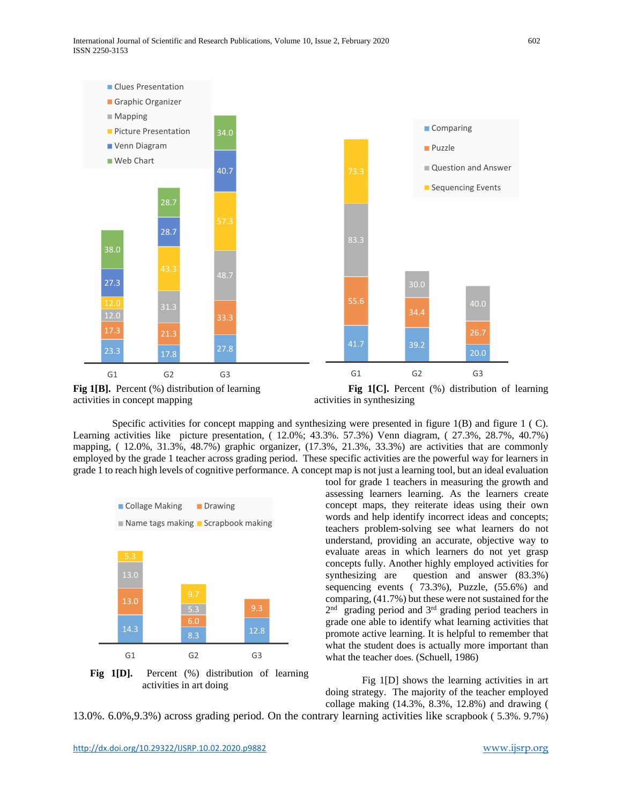

activities in concept mapping activities in synthesizing

Specific activities for concept mapping and synthesizing were presented in figure  $1(R)$  and figure  $1(C)$ . Learning activities like picture presentation, ( 12.0%; 43.3%. 57.3%) Venn diagram, ( 27.3%, 28.7%, 40.7%) mapping, ( 12.0%, 31.3%, 48.7%) graphic organizer, (17.3%, 21.3%, 33.3%) are activities that are commonly employed by the grade 1 teacher across grading period. These specific activities are the powerful way for learners in grade 1 to reach high levels of cognitive performance. A concept map is not just a learning tool, but an ideal evaluation



**Fig 1[D].** Percent (%) distribution of learning activities in art doing

tool for grade 1 teachers in measuring the growth and assessing learners learning. As the learners create concept maps, they reiterate ideas using their own words and help identify incorrect ideas and concepts; teachers problem-solving see what learners do not understand, providing an accurate, objective way to evaluate areas in which learners do not yet grasp concepts fully. Another highly employed activities for synthesizing are question and answer (83.3%) sequencing events ( 73.3%), Puzzle, (55.6%) and comparing, (41.7%) but these were not sustained for the 2<sup>nd</sup> grading period and 3<sup>rd</sup> grading period teachers in grade one able to identify what learning activities that promote active learning. It is helpful to remember that what the student does is actually more important than what the teacher does. (Schuell, 1986)

Fig 1[D] shows the learning activities in art doing strategy. The majority of the teacher employed collage making (14.3%, 8.3%, 12.8%) and drawing (

13.0%. 6.0%,9.3%) across grading period. On the contrary learning activities like scrapbook ( 5.3%. 9.7%)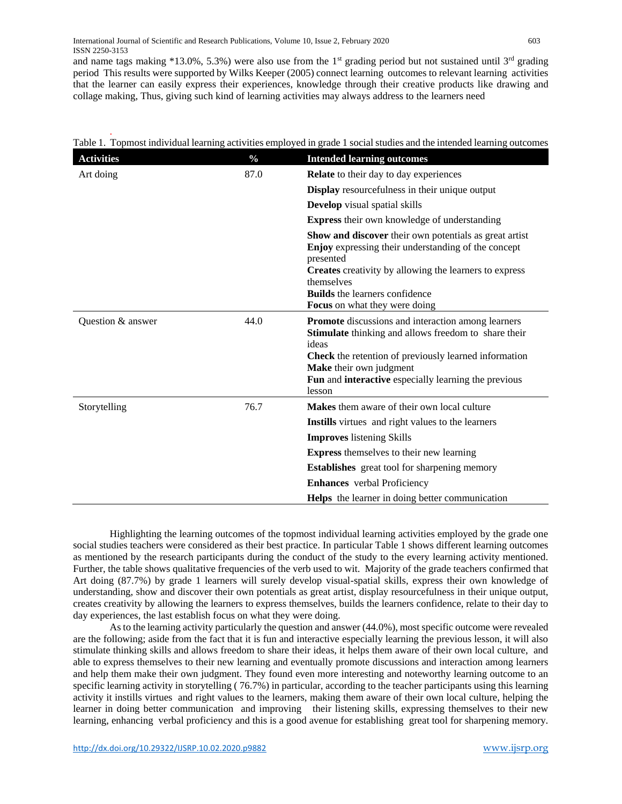and name tags making \*13.0%, 5.3%) were also use from the 1<sup>st</sup> grading period but not sustained until  $3<sup>rd</sup>$  grading period This results were supported by Wilks Keeper (2005) connect learning outcomes to relevant learning activities that the learner can easily express their experiences, knowledge through their creative products like drawing and collage making, Thus, giving such kind of learning activities may always address to the learners need

| <b>Activities</b> | $\frac{0}{0}$ | <b>Intended learning outcomes</b>                                                                                                                                                                                                                                                          |
|-------------------|---------------|--------------------------------------------------------------------------------------------------------------------------------------------------------------------------------------------------------------------------------------------------------------------------------------------|
| Art doing         | 87.0          | <b>Relate</b> to their day to day experiences                                                                                                                                                                                                                                              |
|                   |               | <b>Display</b> resourcefulness in their unique output                                                                                                                                                                                                                                      |
|                   |               | <b>Develop</b> visual spatial skills                                                                                                                                                                                                                                                       |
|                   |               | <b>Express their own knowledge of understanding</b>                                                                                                                                                                                                                                        |
|                   |               | Show and discover their own potentials as great artist<br><b>Enjoy</b> expressing their understanding of the concept<br>presented<br><b>Creates</b> creativity by allowing the learners to express<br>themselves<br><b>Builds</b> the learners confidence<br>Focus on what they were doing |
| Question & answer | 44.0          | Promote discussions and interaction among learners<br>Stimulate thinking and allows freedom to share their<br>ideas<br><b>Check</b> the retention of previously learned information<br>Make their own judgment<br>Fun and interactive especially learning the previous<br>lesson           |
| Storytelling      | 76.7          | <b>Makes</b> them aware of their own local culture                                                                                                                                                                                                                                         |
|                   |               | <b>Instills</b> virtues and right values to the learners                                                                                                                                                                                                                                   |
|                   |               | <b>Improves</b> listening Skills                                                                                                                                                                                                                                                           |
|                   |               | <b>Express</b> themselves to their new learning                                                                                                                                                                                                                                            |
|                   |               | <b>Establishes</b> great tool for sharpening memory                                                                                                                                                                                                                                        |
|                   |               | <b>Enhances</b> verbal Proficiency                                                                                                                                                                                                                                                         |
|                   |               | <b>Helps</b> the learner in doing better communication                                                                                                                                                                                                                                     |

. Table 1. Topmost individual learning activities employed in grade 1 social studies and the intended learning outcomes

Highlighting the learning outcomes of the topmost individual learning activities employed by the grade one social studies teachers were considered as their best practice. In particular Table 1 shows different learning outcomes as mentioned by the research participants during the conduct of the study to the every learning activity mentioned. Further, the table shows qualitative frequencies of the verb used to wit. Majority of the grade teachers confirmed that Art doing (87.7%) by grade 1 learners will surely develop visual-spatial skills, express their own knowledge of understanding, show and discover their own potentials as great artist, display resourcefulness in their unique output, creates creativity by allowing the learners to express themselves, builds the learners confidence, relate to their day to day experiences, the last establish focus on what they were doing.

As to the learning activity particularly the question and answer (44.0%), most specific outcome were revealed are the following; aside from the fact that it is fun and interactive especially learning the previous lesson, it will also stimulate thinking skills and allows freedom to share their ideas, it helps them aware of their own local culture, and able to express themselves to their new learning and eventually promote discussions and interaction among learners and help them make their own judgment. They found even more interesting and noteworthy learning outcome to an specific learning activity in storytelling ( 76.7%) in particular, according to the teacher participants using this learning activity it instills virtues and right values to the learners, making them aware of their own local culture, helping the learner in doing better communication and improving their listening skills, expressing themselves to their new learning, enhancing verbal proficiency and this is a good avenue for establishing great tool for sharpening memory.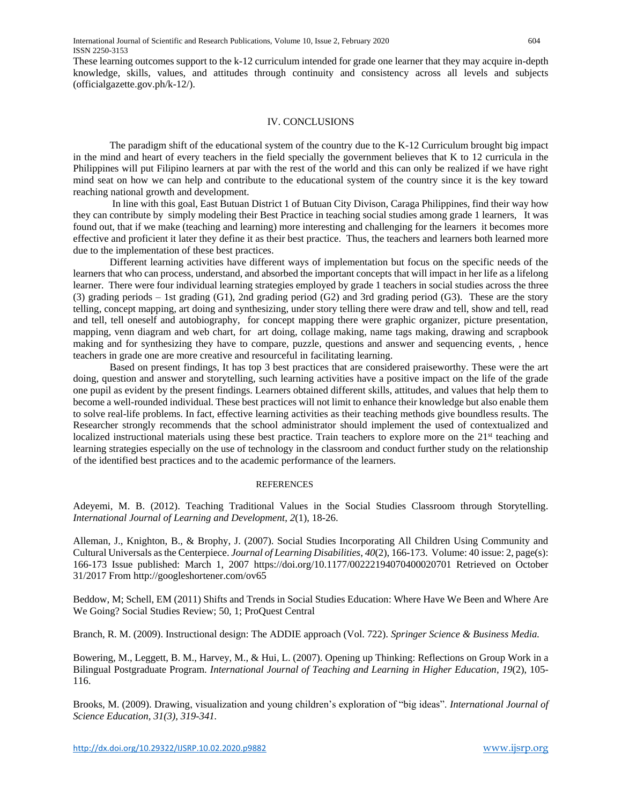These learning outcomes support to the k-12 curriculum intended for grade one learner that they may acquire in-depth knowledge, skills, values, and attitudes through continuity and consistency across all levels and subjects (officialgazette.gov.ph/k-12/).

#### IV. CONCLUSIONS

The paradigm shift of the educational system of the country due to the K-12 Curriculum brought big impact in the mind and heart of every teachers in the field specially the government believes that K to 12 curricula in the Philippines will put Filipino learners at par with the rest of the world and this can only be realized if we have right mind seat on how we can help and contribute to the educational system of the country since it is the key toward reaching national growth and development.

In line with this goal, East Butuan District 1 of Butuan City Divison, Caraga Philippines, find their way how they can contribute by simply modeling their Best Practice in teaching social studies among grade 1 learners, It was found out, that if we make (teaching and learning) more interesting and challenging for the learners it becomes more effective and proficient it later they define it as their best practice. Thus, the teachers and learners both learned more due to the implementation of these best practices.

Different learning activities have different ways of implementation but focus on the specific needs of the learners that who can process, understand, and absorbed the important concepts that will impact in her life as a lifelong learner. There were four individual learning strategies employed by grade 1 teachers in social studies across the three (3) grading periods – 1st grading (G1), 2nd grading period (G2) and 3rd grading period (G3). These are the story telling, concept mapping, art doing and synthesizing, under story telling there were draw and tell, show and tell, read and tell, tell oneself and autobiography, for concept mapping there were graphic organizer, picture presentation, mapping, venn diagram and web chart, for art doing, collage making, name tags making, drawing and scrapbook making and for synthesizing they have to compare, puzzle, questions and answer and sequencing events, , hence teachers in grade one are more creative and resourceful in facilitating learning.

Based on present findings, It has top 3 best practices that are considered praiseworthy. These were the art doing, question and answer and storytelling, such learning activities have a positive impact on the life of the grade one pupil as evident by the present findings. Learners obtained different skills, attitudes, and values that help them to become a well-rounded individual. These best practices will not limit to enhance their knowledge but also enable them to solve real-life problems. In fact, effective learning activities as their teaching methods give boundless results. The Researcher strongly recommends that the school administrator should implement the used of contextualized and localized instructional materials using these best practice. Train teachers to explore more on the 21<sup>st</sup> teaching and learning strategies especially on the use of technology in the classroom and conduct further study on the relationship of the identified best practices and to the academic performance of the learners.

#### REFERENCES

Adeyemi, M. B. (2012). Teaching Traditional Values in the Social Studies Classroom through Storytelling. *International Journal of Learning and Development*, *2*(1), 18-26.

Alleman, J., Knighton, B., & Brophy, J. (2007). Social Studies Incorporating All Children Using Community and Cultural Universals as the Centerpiece. *Journal of Learning Disabilities*, *40*(2), 166-173. Volume: 40 issue: 2, page(s): 166-173 Issue published: March 1, 2007 <https://doi.org/10.1177/00222194070400020701> Retrieved on October 31/2017 From<http://googleshortener.com/ov65>

Beddow, M; Schell, EM (2011) Shifts and Trends in Social Studies Education: Where Have We Been and Where Are We Going? Social Studies Review; 50, 1; ProQuest Central

Branch, R. M. (2009). Instructional design: The ADDIE approach (Vol. 722). *Springer Science & Business Media.*

Bowering, M., Leggett, B. M., Harvey, M., & Hui, L. (2007). Opening up Thinking: Reflections on Group Work in a Bilingual Postgraduate Program. *International Journal of Teaching and Learning in Higher Education*, *19*(2), 105- 116.

Brooks, M. (2009). Drawing, visualization and young children's exploration of "big ideas". *International Journal of Science Education, 31(3), 319-341.*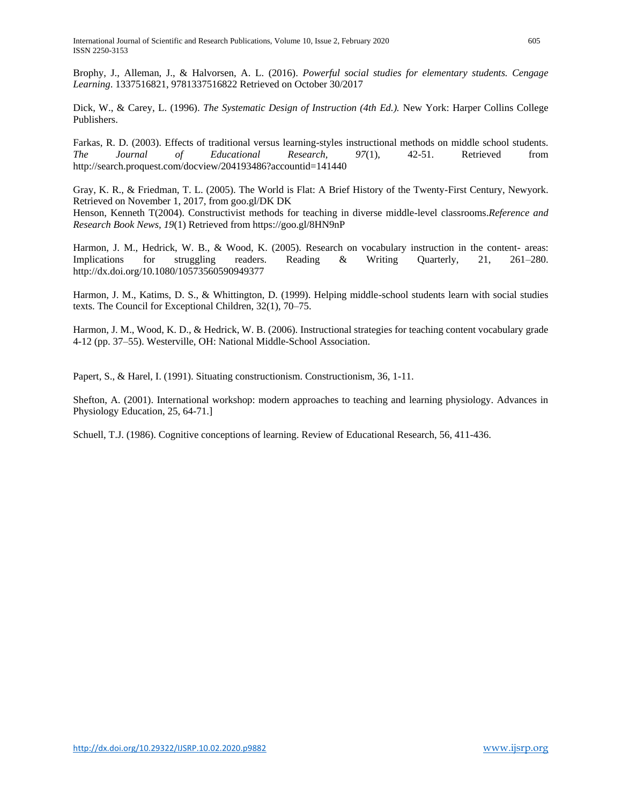Brophy, J., Alleman, J., & Halvorsen, A. L. (2016). *Powerful social studies for elementary students. Cengage Learning*. 1337516821, 9781337516822 Retrieved on October 30/2017

Dick, W., & Carey, L. (1996). *The Systematic Design of Instruction (4th Ed.).* New York: Harper Collins College Publishers.

Farkas, R. D. (2003). Effects of traditional versus learning-styles instructional methods on middle school students. *The Journal of Educational Research, 97*(1), 42-51. Retrieved from <http://search.proquest.com/docview/204193486?accountid=141440>

Gray, K. R., & Friedman, T. L. (2005). The World is Flat: A Brief History of the Twenty-First Century, Newyork. Retrieved on November 1, 2017, from goo.gl/DK DK

Henson, Kenneth T(2004). Constructivist methods for teaching in diverse middle-level classrooms.*Reference and Research Book News, 19*(1) Retrieved from<https://goo.gl/8HN9nP>

Harmon, J. M., Hedrick, W. B., & Wood, K. (2005). Research on vocabulary instruction in the content- areas: Implications for struggling readers. Reading & Writing Quarterly, 21, 261–280. <http://dx.doi.org/10.1080/10573560590949377>

Harmon, J. M., Katims, D. S., & Whittington, D. (1999). Helping middle-school students learn with social studies texts. The Council for Exceptional Children, 32(1), 70–75.

Harmon, J. M., Wood, K. D., & Hedrick, W. B. (2006). Instructional strategies for teaching content vocabulary grade 4-12 (pp. 37–55). Westerville, OH: National Middle-School Association.

Papert, S., & Harel, I. (1991). Situating constructionism. Constructionism, 36, 1-11.

Shefton, A. (2001). International workshop: modern approaches to teaching and learning physiology. Advances in Physiology Education, 25, 64-71.]

Schuell, T.J. (1986). Cognitive conceptions of learning. Review of Educational Research, 56, 411-436.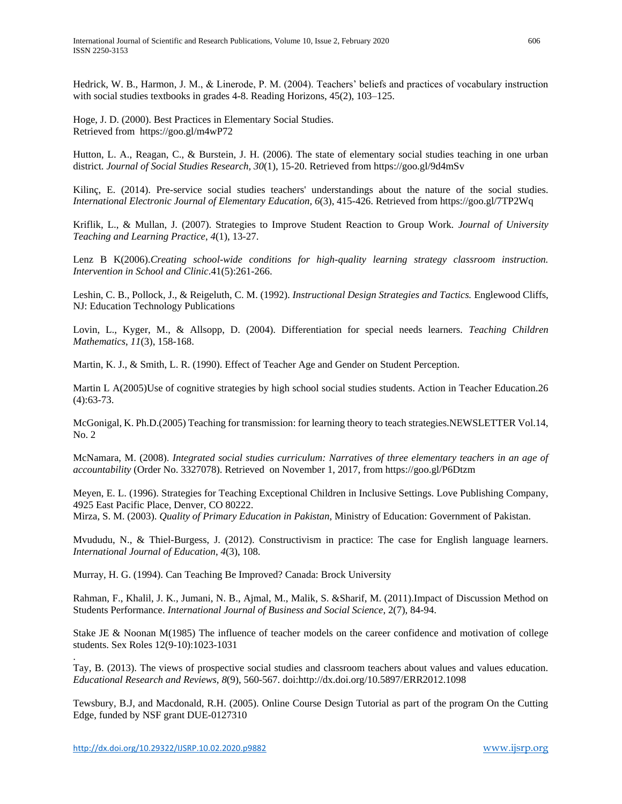Hedrick, W. B., Harmon, J. M., & Linerode, P. M. (2004). Teachers' beliefs and practices of vocabulary instruction with social studies textbooks in grades 4-8. Reading Horizons, 45(2), 103–125.

Hoge, J. D. (2000). Best Practices in Elementary Social Studies. Retrieved from <https://goo.gl/m4wP72>

Hutton, L. A., Reagan, C., & Burstein, J. H. (2006). The state of elementary social studies teaching in one urban district. *Journal of Social Studies Research, 30*(1), 15-20. Retrieved from<https://goo.gl/9d4mSv>

Kilinç, E. (2014). Pre-service social studies teachers' understandings about the nature of the social studies. *International Electronic Journal of Elementary Education, 6*(3), 415-426. Retrieved from<https://goo.gl/7TP2Wq>

Kriflik, L., & Mullan, J. (2007). Strategies to Improve Student Reaction to Group Work. *Journal of University Teaching and Learning Practice*, *4*(1), 13-27.

Lenz B K(2006).*Creating school-wide conditions for high-quality learning strategy classroom instruction. Intervention in School and Clinic*.41(5):261-266.

Leshin, C. B., Pollock, J., & Reigeluth, C. M. (1992). *Instructional Design Strategies and Tactics.* Englewood Cliffs, NJ: Education Technology Publications

Lovin, L., Kyger, M., & Allsopp, D. (2004). Differentiation for special needs learners. *Teaching Children Mathematics*, *11*(3), 158-168.

Martin, K. J., & Smith, L. R. (1990). Effect of Teacher Age and Gender on Student Perception.

Martin L A(2005)Use of cognitive strategies by high school social studies students. Action in Teacher Education.26 (4):63-73.

McGonigal, K. Ph.D.(2005) Teaching for transmission: for learning theory to teach strategies.NEWSLETTER Vol.14, No. 2

McNamara, M. (2008). *Integrated social studies curriculum: Narratives of three elementary teachers in an age of accountability* (Order No. 3327078). Retrieved on November 1, 2017, from<https://goo.gl/P6Dtzm>

Meyen, E. L. (1996). Strategies for Teaching Exceptional Children in Inclusive Settings. Love Publishing Company, 4925 East Pacific Place, Denver, CO 80222.

Mirza, S. M. (2003). *Quality of Primary Education in Pakistan*, Ministry of Education: Government of Pakistan.

Mvududu, N., & Thiel-Burgess, J. (2012). Constructivism in practice: The case for English language learners. *International Journal of Education*, *4*(3), 108.

Murray, H. G. (1994). Can Teaching Be Improved? Canada: Brock University

Rahman, F., Khalil, J. K., Jumani, N. B., Ajmal, M., Malik, S. &Sharif, M. (2011).Impact of Discussion Method on Students Performance. *International Journal of Business and Social Science*, 2(7), 84-94.

Stake JE & Noonan M(1985) The influence of teacher models on the career confidence and motivation of college students. Sex Roles 12(9-10):1023-1031

Tay, B. (2013). The views of prospective social studies and classroom teachers about values and values education. *Educational Research and Reviews, 8*(9), 560-567. doi:http://dx.doi.org/10.5897/ERR2012.1098

Tewsbury, B.J, and Macdonald, R.H. (2005). Online Course Design Tutorial as part of the program On the Cutting Edge, funded by NSF grant DUE-0127310

.